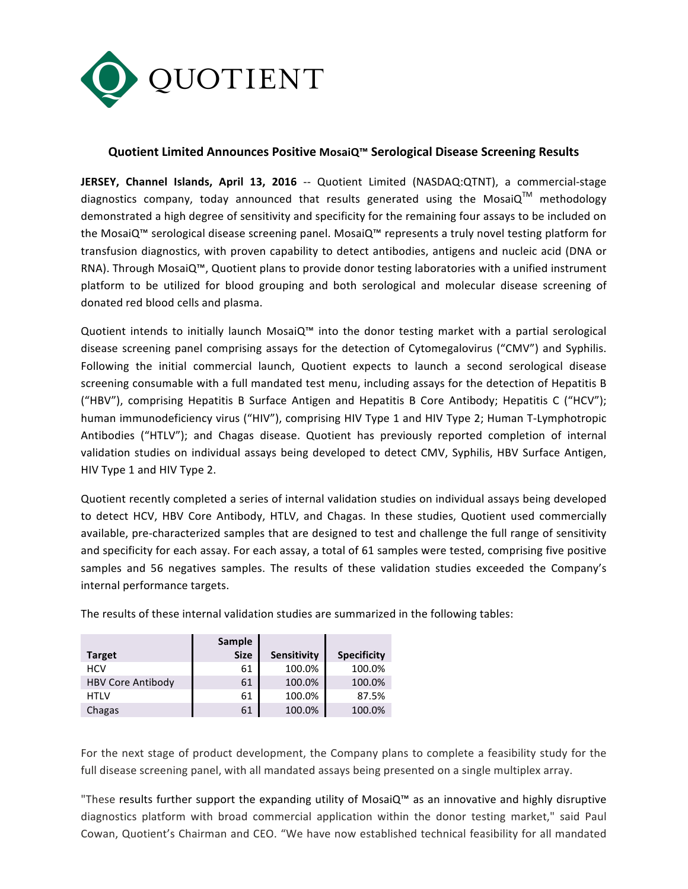

## **Quotient Limited Announces Positive MosaiQ™ Serological Disease Screening Results**

**JERSEY, Channel Islands, April 13, 2016** -- Quotient Limited (NASDAQ:QTNT), a commercial-stage diagnostics company, today announced that results generated using the MosaiQ<sup>TM</sup> methodology demonstrated a high degree of sensitivity and specificity for the remaining four assays to be included on the MosaiQ™ serological disease screening panel. MosaiQ™ represents a truly novel testing platform for transfusion diagnostics, with proven capability to detect antibodies, antigens and nucleic acid (DNA or RNA). Through MosaiQ™, Quotient plans to provide donor testing laboratories with a unified instrument platform to be utilized for blood grouping and both serological and molecular disease screening of donated red blood cells and plasma.

Quotient intends to initially launch MosaiQ™ into the donor testing market with a partial serological disease screening panel comprising assays for the detection of Cytomegalovirus ("CMV") and Syphilis. Following the initial commercial launch, Quotient expects to launch a second serological disease screening consumable with a full mandated test menu, including assays for the detection of Hepatitis B ("HBV"), comprising Hepatitis B Surface Antigen and Hepatitis B Core Antibody; Hepatitis C ("HCV"); human immunodeficiency virus ("HIV"), comprising HIV Type 1 and HIV Type 2; Human T-Lymphotropic Antibodies ("HTLV"); and Chagas disease. Quotient has previously reported completion of internal validation studies on individual assays being developed to detect CMV, Syphilis, HBV Surface Antigen, HIV Type 1 and HIV Type 2.

Quotient recently completed a series of internal validation studies on individual assays being developed to detect HCV, HBV Core Antibody, HTLV, and Chagas. In these studies, Quotient used commercially available, pre-characterized samples that are designed to test and challenge the full range of sensitivity and specificity for each assay. For each assay, a total of 61 samples were tested, comprising five positive samples and 56 negatives samples. The results of these validation studies exceeded the Company's internal performance targets.

|                          | Sample      |             |                    |
|--------------------------|-------------|-------------|--------------------|
| <b>Target</b>            | <b>Size</b> | Sensitivity | <b>Specificity</b> |
| HCV                      | 61          | 100.0%      | 100.0%             |
| <b>HBV Core Antibody</b> | 61          | 100.0%      | 100.0%             |
| <b>HTLV</b>              | 61          | 100.0%      | 87.5%              |
| Chagas                   | 61          | 100.0%      | 100.0%             |

The results of these internal validation studies are summarized in the following tables:

For the next stage of product development, the Company plans to complete a feasibility study for the full disease screening panel, with all mandated assays being presented on a single multiplex array.

"These results further support the expanding utility of MosaiQ™ as an innovative and highly disruptive diagnostics platform with broad commercial application within the donor testing market," said Paul Cowan, Quotient's Chairman and CEO. "We have now established technical feasibility for all mandated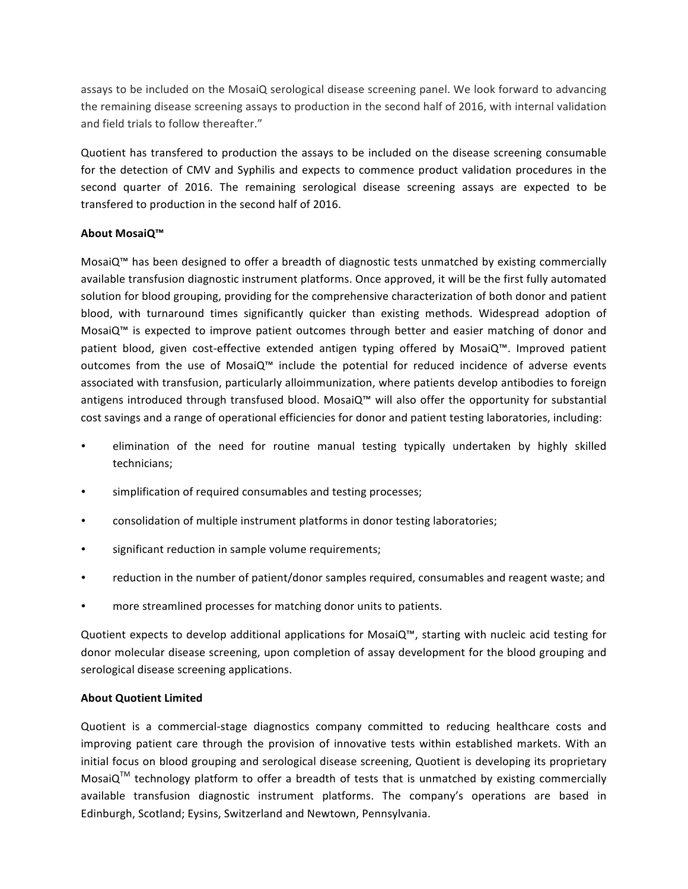assays to be included on the MosaiQ serological disease screening panel. We look forward to advancing the remaining disease screening assays to production in the second half of 2016, with internal validation and field trials to follow thereafter."

Quotient has transfered to production the assays to be included on the disease screening consumable for the detection of CMV and Syphilis and expects to commence product validation procedures in the second quarter of 2016. The remaining serological disease screening assays are expected to be transfered to production in the second half of 2016.

## **About MosaiQ™**

MosaiQ<sup>™</sup> has been designed to offer a breadth of diagnostic tests unmatched by existing commercially available transfusion diagnostic instrument platforms. Once approved, it will be the first fully automated solution for blood grouping, providing for the comprehensive characterization of both donor and patient blood, with turnaround times significantly quicker than existing methods. Widespread adoption of MosaiQ<sup>™</sup> is expected to improve patient outcomes through better and easier matching of donor and patient blood, given cost-effective extended antigen typing offered by MosaiQ™. Improved patient outcomes from the use of MosaiQ™ include the potential for reduced incidence of adverse events associated with transfusion, particularly alloimmunization, where patients develop antibodies to foreign antigens introduced through transfused blood. MosaiQ™ will also offer the opportunity for substantial cost savings and a range of operational efficiencies for donor and patient testing laboratories, including:

- elimination of the need for routine manual testing typically undertaken by highly skilled technicians;
- simplification of required consumables and testing processes;
- consolidation of multiple instrument platforms in donor testing laboratories;
- significant reduction in sample volume requirements;
- reduction in the number of patient/donor samples required, consumables and reagent waste; and
- more streamlined processes for matching donor units to patients.

Quotient expects to develop additional applications for MosaiQ™, starting with nucleic acid testing for donor molecular disease screening, upon completion of assay development for the blood grouping and serological disease screening applications.

## **About Quotient Limited**

Quotient is a commercial-stage diagnostics company committed to reducing healthcare costs and improving patient care through the provision of innovative tests within established markets. With an initial focus on blood grouping and serological disease screening, Quotient is developing its proprietary MosaiQ<sup>TM</sup> technology platform to offer a breadth of tests that is unmatched by existing commercially available transfusion diagnostic instrument platforms. The company's operations are based in Edinburgh, Scotland; Eysins, Switzerland and Newtown, Pennsylvania.